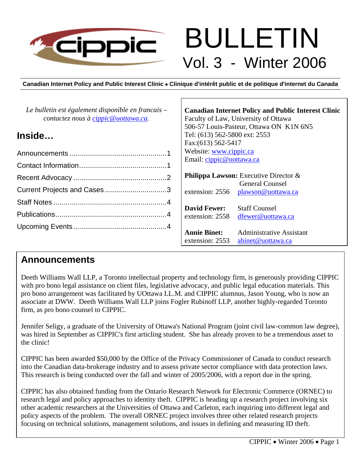

# BULLETIN Vol. 3 - Winter 2006

**Canadian Internet Policy and Public Interest Clinic** • **Clinique d'intérêt public et de politique d'internet du Canada**

Г

| Le bulletin est également disponible en francais –<br>contactez nous à cippic@uottawa.ca. | <b>Canadian Internet Policy and Public Interest Clinic</b><br>Faculty of Law, University of Ottawa<br>506-57 Louis-Pasteur, Ottawa ON K1N 6N5 |
|-------------------------------------------------------------------------------------------|-----------------------------------------------------------------------------------------------------------------------------------------------|
| Inside                                                                                    | Tel: (613) 562-5800 ext: 2553<br>Fax: (613) 562-5417                                                                                          |
|                                                                                           | Website: www.cippic.ca                                                                                                                        |
|                                                                                           | Email: cippic@uottawa.ca                                                                                                                      |
|                                                                                           | <b>Philippa Lawson:</b> Executive Director $\&$                                                                                               |
|                                                                                           | <b>General Counsel</b><br>extension: 2556 plawson@uottawa.ca                                                                                  |
|                                                                                           |                                                                                                                                               |
|                                                                                           | <b>David Fewer:</b><br><b>Staff Counsel</b><br>extension: 2558<br>dfewer@uottawa.ca                                                           |
|                                                                                           | <b>Annie Binet:</b><br><b>Administrative Assistant</b><br>extension: 2553<br>abinet@uottawa.ca                                                |

## **Announcements**

Deeth Williams Wall LLP, a Toronto intellectual property and technology firm, is generously providing CIPPIC with pro bono legal assistance on client files, legislative advocacy, and public legal education materials. This pro bono arrangement was facilitated by UOttawa LL.M. and CIPPIC alumnus, Jason Young, who is now an associate at DWW. Deeth Williams Wall LLP joins Fogler Rubinoff LLP, another highly-regarded Toronto firm, as pro bono counsel to CIPPIC.

Jennifer Seligy, a graduate of the University of Ottawa's National Program (joint civil law-common law degree), was hired in September as CIPPIC's first articling student. She has already proven to be a tremendous asset to the clinic!

CIPPIC has been awarded \$50,000 by the Office of the Privacy Commissioner of Canada to conduct research into the Canadian data-brokerage industry and to assess private sector compliance with data protection laws. This research is being conducted over the fall and winter of 2005/2006, with a report due in the spring.

CIPPIC has also obtained funding from the Ontario Research Network for Electronic Commerce (ORNEC) to research legal and policy approaches to identity theft. CIPPIC is heading up a research project involving six other academic researchers at the Universities of Ottawa and Carleton, each inquiring into different legal and policy aspects of the problem. The overall ORNEC project involves three other related research projects focusing on technical solutions, management solutions, and issues in defining and measuring ID theft.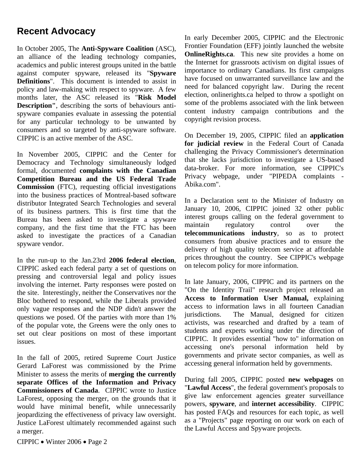## **Recent Advocacy**

In October 2005, The **Anti-Spyware Coalition** (ASC), an alliance of the leading technology companies, academics and public interest groups united in the battle against computer spyware, released its "**Spyware Definitions**". This document is intended to assist in policy and law-making with respect to spyware. A few months later, the ASC released its "**Risk Model Description"**, describing the sorts of behaviours antispyware companies evaluate in assessing the potential for any particular technology to be unwanted by consumers and so targeted by anti-spyware software. CIPPIC is an active member of the ASC.

In November 2005, CIPPIC and the Center for Democracy and Technology simultaneously lodged formal, documented **complaints with the Canadian Competition Bureau and the US Federal Trade Commission** (FTC), requesting official investigations into the business practices of Montreal-based software distributor Integrated Search Technologies and several of its business partners. This is first time that the Bureau has been asked to investigate a spyware company, and the first time that the FTC has been asked to investigate the practices of a Canadian spyware vendor.

In the run-up to the Jan.23rd **2006 federal election**, CIPPIC asked each federal party a set of questions on pressing and controversial legal and policy issues involving the internet. Party responses were posted on the site. Interestingly, neither the Conservatives nor the Bloc bothered to respond, while the Liberals provided only vague responses and the NDP didn't answer the questions we posed. Of the parties with more than 1% of the popular vote, the Greens were the only ones to set out clear positions on most of these important issues.

In the fall of 2005, retired Supreme Court Justice Gerard LaForest was commissioned by the Prime Minister to assess the merits of **merging the currently separate Offices of the Information and Privacy Commissioners of Canada**. CIPPIC wrote to Justice LaForest, opposing the merger, on the grounds that it would have minimal benefit, while unnecessarily jeopardizing the effectiveness of privacy law oversight. Justice LaForest ultimately recommended against such a merger.

In early December 2005, CIPPIC and the Electronic Frontier Foundation (EFF) jointly launched the website **OnlineRights.ca**. This new site provides a home on the Internet for grassroots activism on digital issues of importance to ordinary Canadians. Its first campaigns have focused on unwarranted surveillance law and the need for balanced copyright law. During the recent election, onlinerights.ca helped to throw a spotlight on some of the problems associated with the link between content industry campaign contributions and the copyright revision process.

On December 19, 2005, CIPPIC filed an **application for judicial review** in the Federal Court of Canada challenging the Privacy Commissioner's determination that she lacks jurisdiction to investigate a US-based data-broker. For more information, see CIPPIC's Privacy webpage, under "PIPEDA complaints - Abika.com".

In a Declaration sent to the Minister of Industry on January 10, 2006, CIPPIC joined 32 other public interest groups calling on the federal government to maintain regulatory control over the **telecommunications industry**, so as to protect consumers from abusive practices and to ensure the delivery of high quality telecom service at affordable prices throughout the country. See CIPPIC's webpage on telecom policy for more information.

In late January, 2006, CIPPIC and its partners on the "On the Identity Trail" research project released an **Access to Information User Manual,** explaining access to information laws in all fourteen Canadian jurisdictions. The Manual, designed for citizen activists, was researched and drafted by a team of students and experts working under the direction of CIPPIC. It provides essential "how to" information on accessing one's personal information held by governments and private sector companies, as well as accessing general information held by governments.

During fall 2005, CIPPIC posted **new webpages** on "**Lawful Access**", the federal government's proposals to give law enforcement agencies greater surveillance powers, **spyware**, and **internet accessibility**. CIPPIC has posted FAQs and resources for each topic, as well as a "Projects" page reporting on our work on each of the Lawful Access and Spyware projects.

CIPPIC • Winter 2006 • Page 2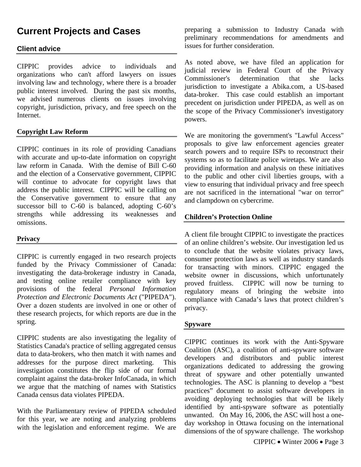# **Current Projects and Cases**

### **Client advice**

CIPPIC provides advice to individuals and organizations who can't afford lawyers on issues involving law and technology, where there is a broader public interest involved. During the past six months, we advised numerous clients on issues involving copyright, jurisdiction, privacy, and free speech on the Internet.

#### **Copyright Law Reform**

CIPPIC continues in its role of providing Canadians with accurate and up-to-date information on copyright law reform in Canada. With the demise of Bill C-60 and the election of a Conservative government, CIPPIC will continue to advocate for copyright laws that address the public interest. CIPPIC will be calling on the Conservative government to ensure that any successor bill to C-60 is balanced, adopting C-60's strengths while addressing its weaknesses and omissions.

#### **Privacy**

CIPPIC is currently engaged in two research projects funded by the Privacy Commissioner of Canada: investigating the data-brokerage industry in Canada, and testing online retailer compliance with key provisions of the federal *Personal Information Protection and Electronic Documents Act* ("PIPEDA"). Over a dozen students are involved in one or other of these research projects, for which reports are due in the spring.

CIPPIC students are also investigating the legality of Statistics Canada's practice of selling aggregated census data to data-brokers, who then match it with names and addresses for the purpose direct marketing. This investigation constitutes the flip side of our formal complaint against the data-broker InfoCanada, in which we argue that the matching of names with Statistics Canada census data violates PIPEDA.

With the Parliamentary review of PIPEDA scheduled for this year, we are noting and analyzing problems with the legislation and enforcement regime. We are preparing a submission to Industry Canada with preliminary recommendations for amendments and issues for further consideration.

As noted above, we have filed an application for judicial review in Federal Court of the Privacy Commissioner's determination that she lacks jurisdiction to investigate a Abika.com, a US-based data-broker. This case could establish an important precedent on jurisdiction under PIPEDA, as well as on the scope of the Privacy Commissioner's investigatory powers.

We are monitoring the government's "Lawful Access" proposals to give law enforcement agencies greater search powers and to require ISPs to reconstruct their systems so as to facilitate police wiretaps. We are also providing information and analysis on these initiatives to the public and other civil liberties groups, with a view to ensuring that individual privacy and free speech are not sacrificed in the international "war on terror" and clampdown on cybercrime.

#### **Children's Protection Online**

A client file brought CIPPIC to investigate the practices of an online children's website. Our investigation led us to conclude that the website violates privacy laws, consumer protection laws as well as industry standards for transacting with minors. CIPPIC engaged the website owner in discussions, which unfortunately proved fruitless. CIPPIC will now be turning to regulatory means of bringing the website into compliance with Canada's laws that protect children's privacy.

#### **Spyware**

CIPPIC continues its work with the Anti-Spyware Coalition (ASC), a coalition of anti-spyware software developers and distributors and public interest organizations dedicated to addressing the growing threat of spyware and other potentially unwanted technologies. The ASC is planning to develop a "best practices" document to assist software developers in avoiding deploying technologies that will be likely identified by anti-spyware software as potentially unwanted. On May 16, 2006, the ASC will host a oneday workshop in Ottawa focusing on the international dimensions of the of spyware challenge. The workshop